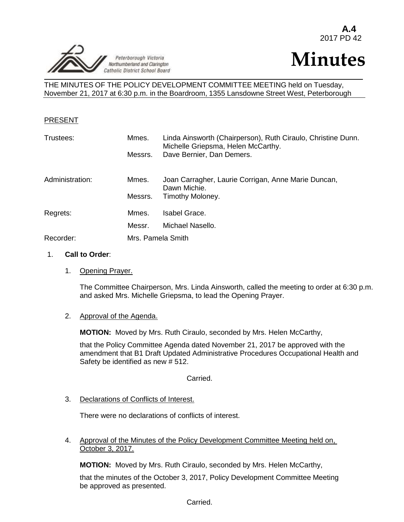



THE MINUTES OF THE POLICY DEVELOPMENT COMMITTEE MEETING held on Tuesday, November 21, 2017 at 6:30 p.m. in the Boardroom, 1355 Lansdowne Street West, Peterborough

#### PRESENT

| Trustees:       | Mmes.<br>Messrs.  | Linda Ainsworth (Chairperson), Ruth Ciraulo, Christine Dunn.<br>Michelle Griepsma, Helen McCarthy.<br>Dave Bernier, Dan Demers. |
|-----------------|-------------------|---------------------------------------------------------------------------------------------------------------------------------|
| Administration: | Mmes.<br>Messrs.  | Joan Carragher, Laurie Corrigan, Anne Marie Duncan,<br>Dawn Michie.<br>Timothy Moloney.                                         |
| Regrets:        | Mmes.             | Isabel Grace.                                                                                                                   |
|                 | Messr.            | Michael Nasello.                                                                                                                |
| Recorder:       | Mrs. Pamela Smith |                                                                                                                                 |

#### 1. **Call to Order**:

1. Opening Prayer.

The Committee Chairperson, Mrs. Linda Ainsworth, called the meeting to order at 6:30 p.m. and asked Mrs. Michelle Griepsma, to lead the Opening Prayer.

#### 2. Approval of the Agenda.

**MOTION:** Moved by Mrs. Ruth Ciraulo, seconded by Mrs. Helen McCarthy,

that the Policy Committee Agenda dated November 21, 2017 be approved with the amendment that B1 Draft Updated Administrative Procedures Occupational Health and Safety be identified as new # 512.

Carried.

3. Declarations of Conflicts of Interest.

There were no declarations of conflicts of interest.

4. Approval of the Minutes of the Policy Development Committee Meeting held on, October 3, 2017.

**MOTION:** Moved by Mrs. Ruth Ciraulo, seconded by Mrs. Helen McCarthy,

that the minutes of the October 3, 2017, Policy Development Committee Meeting be approved as presented.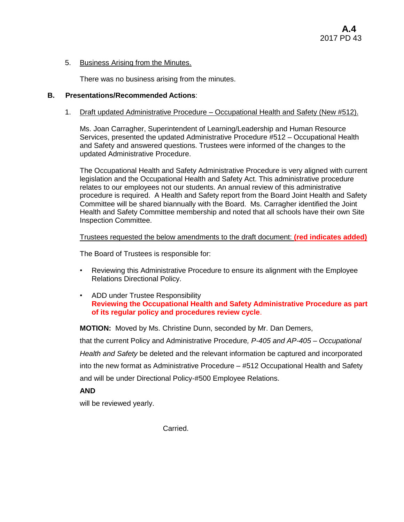### 5. Business Arising from the Minutes.

There was no business arising from the minutes.

## **B. Presentations/Recommended Actions**:

### 1. Draft updated Administrative Procedure – Occupational Health and Safety (New #512).

Ms. Joan Carragher, Superintendent of Learning/Leadership and Human Resource Services, presented the updated Administrative Procedure #512 – Occupational Health and Safety and answered questions. Trustees were informed of the changes to the updated Administrative Procedure.

The Occupational Health and Safety Administrative Procedure is very aligned with current legislation and the Occupational Health and Safety Act. This administrative procedure relates to our employees not our students. An annual review of this administrative procedure is required. A Health and Safety report from the Board Joint Health and Safety Committee will be shared biannually with the Board. Ms. Carragher identified the Joint Health and Safety Committee membership and noted that all schools have their own Site Inspection Committee.

### Trustees requested the below amendments to the draft document: **(red indicates added)**

The Board of Trustees is responsible for:

- Reviewing this Administrative Procedure to ensure its alignment with the Employee Relations Directional Policy.
- ADD under Trustee Responsibility **Reviewing the Occupational Health and Safety Administrative Procedure as part of its regular policy and procedures review cycle**.

**MOTION:** Moved by Ms. Christine Dunn, seconded by Mr. Dan Demers,

that the current Policy and Administrative Procedure*, P-405 and AP-405 – Occupational Health and Safety* be deleted and the relevant information be captured and incorporated into the new format as Administrative Procedure – #512 Occupational Health and Safety and will be under Directional Policy-#500 Employee Relations.

# **AND**

will be reviewed yearly.

Carried.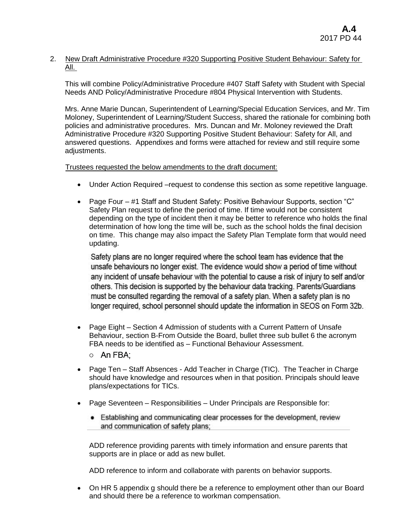### 2. New Draft Administrative Procedure #320 Supporting Positive Student Behaviour: Safety for All.

This will combine Policy/Administrative Procedure #407 Staff Safety with Student with Special Needs AND Policy/Administrative Procedure #804 Physical Intervention with Students.

Mrs. Anne Marie Duncan, Superintendent of Learning/Special Education Services, and Mr. Tim Moloney, Superintendent of Learning/Student Success, shared the rationale for combining both policies and administrative procedures. Mrs. Duncan and Mr. Moloney reviewed the Draft Administrative Procedure #320 Supporting Positive Student Behaviour: Safety for All, and answered questions. Appendixes and forms were attached for review and still require some adjustments.

#### Trustees requested the below amendments to the draft document:

- Under Action Required –request to condense this section as some repetitive language.
- Page Four #1 Staff and Student Safety: Positive Behaviour Supports, section "C" Safety Plan request to define the period of time. If time would not be consistent depending on the type of incident then it may be better to reference who holds the final determination of how long the time will be, such as the school holds the final decision on time. This change may also impact the Safety Plan Template form that would need updating.

Safety plans are no longer required where the school team has evidence that the unsafe behaviours no longer exist. The evidence would show a period of time without any incident of unsafe behaviour with the potential to cause a risk of injury to self and/or others. This decision is supported by the behaviour data tracking. Parents/Guardians must be consulted regarding the removal of a safety plan. When a safety plan is no longer required, school personnel should update the information in SEOS on Form 32b.

- Page Eight Section 4 Admission of students with a Current Pattern of Unsafe Behaviour, section B-From Outside the Board, bullet three sub bullet 6 the acronym FBA needs to be identified as – Functional Behaviour Assessment.
	- o An FBA:
- Page Ten Staff Absences Add Teacher in Charge (TIC). The Teacher in Charge should have knowledge and resources when in that position. Principals should leave plans/expectations for TICs.
- Page Seventeen Responsibilities Under Principals are Responsible for:
	- Establishing and communicating clear processes for the development, review and communication of safety plans:

ADD reference providing parents with timely information and ensure parents that supports are in place or add as new bullet.

ADD reference to inform and collaborate with parents on behavior supports.

 On HR 5 appendix g should there be a reference to employment other than our Board and should there be a reference to workman compensation.